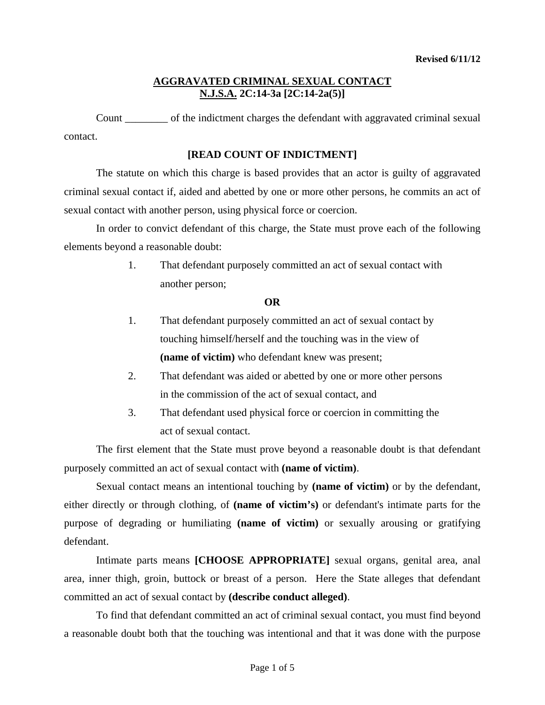Count of the indictment charges the defendant with aggravated criminal sexual contact.

### **[READ COUNT OF INDICTMENT]**

 The statute on which this charge is based provides that an actor is guilty of aggravated criminal sexual contact if, aided and abetted by one or more other persons, he commits an act of sexual contact with another person, using physical force or coercion.

 In order to convict defendant of this charge, the State must prove each of the following elements beyond a reasonable doubt:

> 1. That defendant purposely committed an act of sexual contact with another person;

#### **OR**

- 1. That defendant purposely committed an act of sexual contact by touching himself/herself and the touching was in the view of **(name of victim)** who defendant knew was present;
- 2. That defendant was aided or abetted by one or more other persons in the commission of the act of sexual contact, and
- 3. That defendant used physical force or coercion in committing the act of sexual contact.

The first element that the State must prove beyond a reasonable doubt is that defendant purposely committed an act of sexual contact with **(name of victim)**.

Sexual contact means an intentional touching by **(name of victim)** or by the defendant, either directly or through clothing, of **(name of victim's)** or defendant's intimate parts for the purpose of degrading or humiliating **(name of victim)** or sexually arousing or gratifying defendant.

Intimate parts means **[CHOOSE APPROPRIATE]** sexual organs, genital area, anal area, inner thigh, groin, buttock or breast of a person. Here the State alleges that defendant committed an act of sexual contact by **(describe conduct alleged)**.

<span id="page-0-0"></span>To find that defendant committed an act of criminal sexual contact, you must find beyond a reasonable doubt both that the touching was intentional and that it was done with the purpose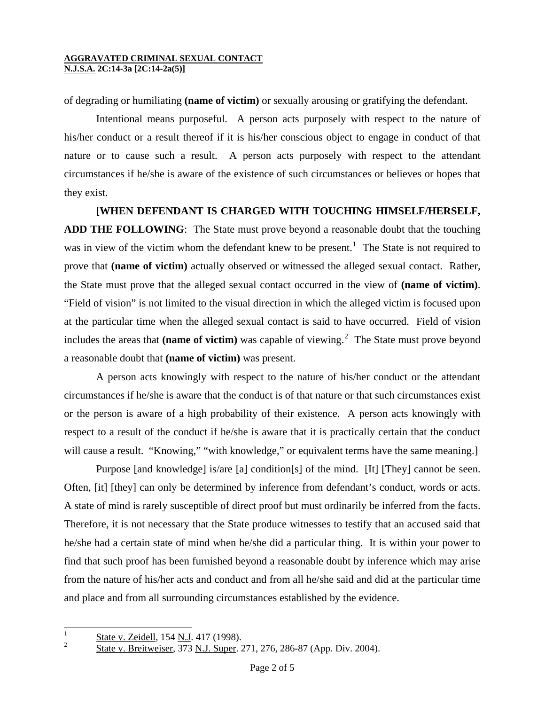of degrading or humiliating **(name of victim)** or sexually arousing or gratifying the defendant.

Intentional means purposeful. A person acts purposely with respect to the nature of his/her conduct or a result thereof if it is his/her conscious object to engage in conduct of that nature or to cause such a result. A person acts purposely with respect to the attendant circumstances if he/she is aware of the existence of such circumstances or believes or hopes that they exist.

## **[WHEN DEFENDANT IS CHARGED WITH TOUCHING HIMSELF/HERSELF,**

**ADD THE FOLLOWING**: The State must prove beyond a reasonable doubt that the touching was in view of the victim whom the defendant knew to be present.<sup>[1](#page-0-0)</sup> The State is not required to prove that **(name of victim)** actually observed or witnessed the alleged sexual contact. Rather, the State must prove that the alleged sexual contact occurred in the view of **(name of victim)**. "Field of vision" is not limited to the visual direction in which the alleged victim is focused upon at the particular time when the alleged sexual contact is said to have occurred. Field of vision includes the areas that (name of victim) was capable of viewing.<sup>[2](#page-1-0)</sup> The State must prove beyond a reasonable doubt that **(name of victim)** was present.

A person acts knowingly with respect to the nature of his/her conduct or the attendant circumstances if he/she is aware that the conduct is of that nature or that such circumstances exist or the person is aware of a high probability of their existence. A person acts knowingly with respect to a result of the conduct if he/she is aware that it is practically certain that the conduct will cause a result. "Knowing," "with knowledge," or equivalent terms have the same meaning.]

Purpose [and knowledge] is/are [a] condition[s] of the mind. [It] [They] cannot be seen. Often, [it] [they] can only be determined by inference from defendant's conduct, words or acts. A state of mind is rarely susceptible of direct proof but must ordinarily be inferred from the facts. Therefore, it is not necessary that the State produce witnesses to testify that an accused said that he/she had a certain state of mind when he/she did a particular thing. It is within your power to find that such proof has been furnished beyond a reasonable doubt by inference which may arise from the nature of his/her acts and conduct and from all he/she said and did at the particular time and place and from all surrounding circumstances established by the evidence.

<span id="page-1-1"></span> $\mathbf{1}$  $\frac{1}{2}$  State v. Zeidell, 154 N.J. 417 (1998).

<span id="page-1-0"></span>State v. Breitweiser, 373 N.J. Super. 271, 276, 286-87 (App. Div. 2004).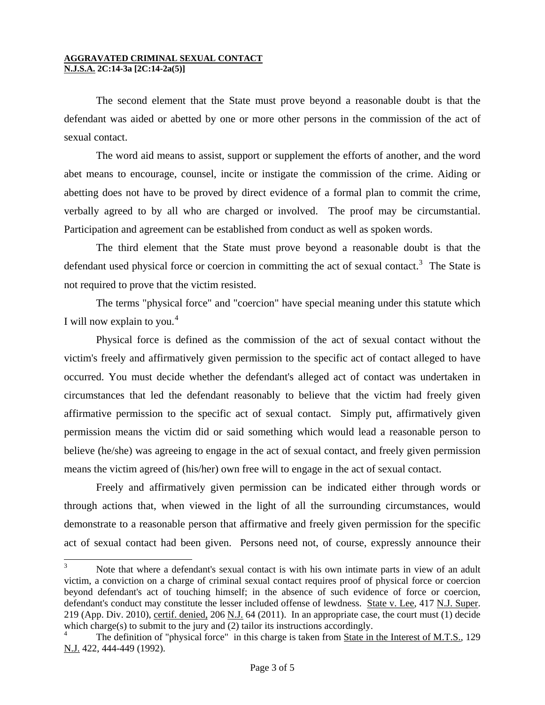$\overline{a}$ 

The second element that the State must prove beyond a reasonable doubt is that the defendant was aided or abetted by one or more other persons in the commission of the act of sexual contact.

 The word aid means to assist, support or supplement the efforts of another, and the word abet means to encourage, counsel, incite or instigate the commission of the crime. Aiding or abetting does not have to be proved by direct evidence of a formal plan to commit the crime, verbally agreed to by all who are charged or involved. The proof may be circumstantial. Participation and agreement can be established from conduct as well as spoken words.

 The third element that the State must prove beyond a reasonable doubt is that the defendant used physical force or coercion in committing the act of sexual contact.<sup>[3](#page-1-1)</sup> The State is not required to prove that the victim resisted.

 The terms "physical force" and "coercion" have special meaning under this statute which I will now explain to you. $4$ 

 Physical force is defined as the commission of the act of sexual contact without the victim's freely and affirmatively given permission to the specific act of contact alleged to have occurred. You must decide whether the defendant's alleged act of contact was undertaken in circumstances that led the defendant reasonably to believe that the victim had freely given affirmative permission to the specific act of sexual contact. Simply put, affirmatively given permission means the victim did or said something which would lead a reasonable person to believe (he/she) was agreeing to engage in the act of sexual contact, and freely given permission means the victim agreed of (his/her) own free will to engage in the act of sexual contact.

 Freely and affirmatively given permission can be indicated either through words or through actions that, when viewed in the light of all the surrounding circumstances, would demonstrate to a reasonable person that affirmative and freely given permission for the specific act of sexual contact had been given. Persons need not, of course, expressly announce their

<sup>3</sup> Note that where a defendant's sexual contact is with his own intimate parts in view of an adult victim, a conviction on a charge of criminal sexual contact requires proof of physical force or coercion beyond defendant's act of touching himself; in the absence of such evidence of force or coercion, defendant's conduct may constitute the lesser included offense of lewdness. State v. Lee, 417 N.J. Super. 219 (App. Div. 2010), certif. denied, 206 N.J. 64 (2011). In an appropriate case, the court must (1) decide which charge(s) to submit to the jury and (2) tailor its instructions accordingly.

<span id="page-2-1"></span><span id="page-2-0"></span><sup>4</sup> The definition of "physical force" in this charge is taken from State in the Interest of M.T.S., 129 N.J. 422, 444-449 (1992).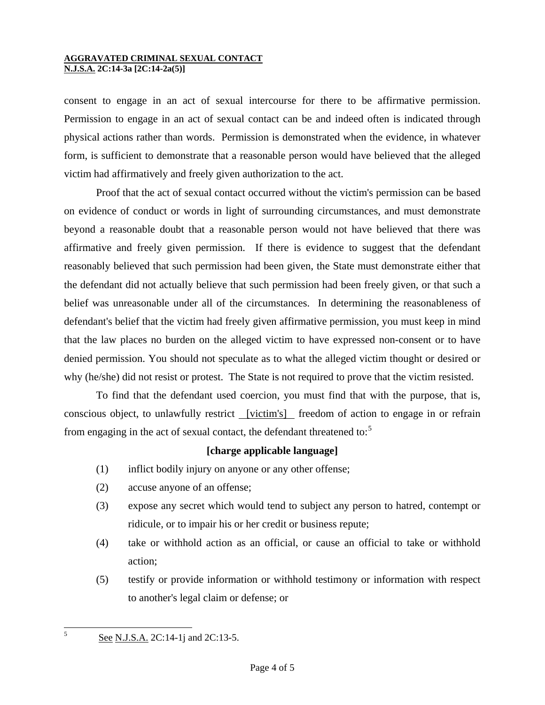consent to engage in an act of sexual intercourse for there to be affirmative permission. Permission to engage in an act of sexual contact can be and indeed often is indicated through physical actions rather than words. Permission is demonstrated when the evidence, in whatever form, is sufficient to demonstrate that a reasonable person would have believed that the alleged victim had affirmatively and freely given authorization to the act.

 Proof that the act of sexual contact occurred without the victim's permission can be based on evidence of conduct or words in light of surrounding circumstances, and must demonstrate beyond a reasonable doubt that a reasonable person would not have believed that there was affirmative and freely given permission. If there is evidence to suggest that the defendant reasonably believed that such permission had been given, the State must demonstrate either that the defendant did not actually believe that such permission had been freely given, or that such a belief was unreasonable under all of the circumstances. In determining the reasonableness of defendant's belief that the victim had freely given affirmative permission, you must keep in mind that the law places no burden on the alleged victim to have expressed non-consent or to have denied permission. You should not speculate as to what the alleged victim thought or desired or why (he/she) did not resist or protest. The State is not required to prove that the victim resisted.

 To find that the defendant used coercion, you must find that with the purpose, that is, conscious object, to unlawfully restrict <u>[victim's]</u> freedom of action to engage in or refrain from engaging in the act of sexual contact, the defendant threatened to:<sup>[5](#page-2-1)</sup>

## **[charge applicable language]**

- (1) inflict bodily injury on anyone or any other offense;
- (2) accuse anyone of an offense;
- (3) expose any secret which would tend to subject any person to hatred, contempt or ridicule, or to impair his or her credit or business repute;
- (4) take or withhold action as an official, or cause an official to take or withhold action;
- (5) testify or provide information or withhold testimony or information with respect to another's legal claim or defense; or

5

See N.J.S.A. 2C:14-1j and 2C:13-5.